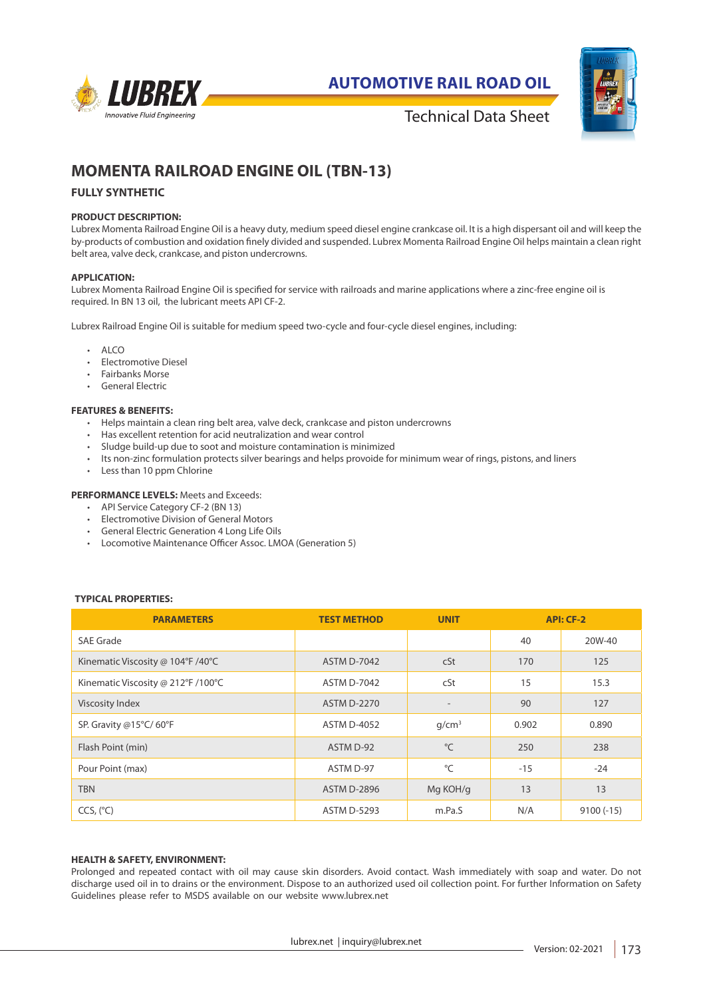

**AUTOMOTIVE RAIL ROAD OIL**



Technical Data Sheet

# **MOMENTA RAILROAD ENGINE OIL (TBN-13)**

## **FULLY SYNTHETIC**

## **PRODUCT DESCRIPTION:**

Lubrex Momenta Railroad Engine Oil is a heavy duty, medium speed diesel engine crankcase oil. It is a high dispersant oil and will keep the by-products of combustion and oxidation finely divided and suspended. Lubrex Momenta Railroad Engine Oil helps maintain a clean right belt area, valve deck, crankcase, and piston undercrowns.

#### **APPLICATION:**

Lubrex Momenta Railroad Engine Oil is specified for service with railroads and marine applications where a zinc-free engine oil is required. In BN 13 oil, the lubricant meets API CF-2.

Lubrex Railroad Engine Oil is suitable for medium speed two-cycle and four-cycle diesel engines, including:

- ALCO
- Electromotive Diesel
- Fairbanks Morse
- General Electric

## **FEATURES & BENEFITS:**

- Helps maintain a clean ring belt area, valve deck, crankcase and piston undercrowns
- Has excellent retention for acid neutralization and wear control
- Sludge build-up due to soot and moisture contamination is minimized
- Its non-zinc formulation protects silver bearings and helps provoide for minimum wear of rings, pistons, and liners
- Less than 10 ppm Chlorine

## **PERFORMANCE LEVELS:** Meets and Exceeds:

- API Service Category CF-2 (BN 13)
- Electromotive Division of General Motors
- General Electric Generation 4 Long Life Oils
- Locomotive Maintenance Officer Assoc. LMOA (Generation 5)

## **TYPICAL PROPERTIES:**

| <b>PARAMETERS</b>                  | <b>TEST METHOD</b> | <b>UNIT</b>       | API: CF-2 |             |
|------------------------------------|--------------------|-------------------|-----------|-------------|
| <b>SAE Grade</b>                   |                    |                   | 40        | 20W-40      |
| Kinematic Viscosity @ 104°F /40°C  | <b>ASTM D-7042</b> | cSt               | 170       | 125         |
| Kinematic Viscosity @ 212°F /100°C | <b>ASTM D-7042</b> | cSt               | 15        | 15.3        |
| Viscosity Index                    | <b>ASTM D-2270</b> | $\qquad \qquad$   | 90        | 127         |
| SP. Gravity @15°C/60°F             | <b>ASTM D-4052</b> | q/cm <sup>3</sup> | 0.902     | 0.890       |
| Flash Point (min)                  | ASTM D-92          | °C                | 250       | 238         |
| Pour Point (max)                   | ASTM D-97          | °C                | $-1.5$    | $-24$       |
| <b>TBN</b>                         | <b>ASTM D-2896</b> | Mg KOH/g          | 13        | 13          |
| CCS, (°C)                          | <b>ASTM D-5293</b> | m.Pa.S            | N/A       | $9100(-15)$ |

#### **HEALTH & SAFETY, ENVIRONMENT:**

Prolonged and repeated contact with oil may cause skin disorders. Avoid contact. Wash immediately with soap and water. Do not discharge used oil in to drains or the environment. Dispose to an authorized used oil collection point. For further Information on Safety Guidelines please refer to MSDS available on our website www.lubrex.net